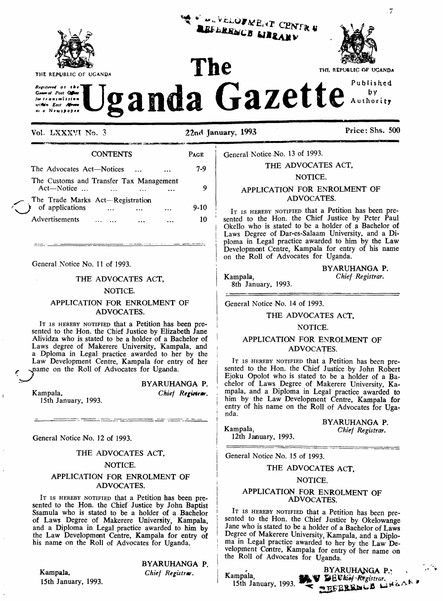

THE REPUBLIC OF UGANDA

*Rrgillrrt4 Ol the Grrurof Post G&\*r jar <sup>t</sup> r on imi >si«a wittín East Afraao*

**Vol. LXXXVI No. <sup>3</sup> 22nd January, 1993 Price: Shs. <sup>500</sup>**

<sup>V ALVÉLOVMENT C<br>DEELDO</sup>

UBLERENCE LIBRARY

'

by Authority

| <b>CONTENTS</b>                                                         | <b>PAGE</b> |
|-------------------------------------------------------------------------|-------------|
| The Advocates Act-Notices                                               | 7-9         |
| The Customs and Transfer Tax Management<br>$Act$ —Notice                |             |
| The Trade Marks Act—Registration<br>f of applications<br>Advertisements | 9-10<br>10  |

General Notice No. 11 of 1993.

#### THE ADVOCATES ACT,

#### NOTICE.

#### APPLICATION FOR ENROLMENT OF ADVOCATES.

IT IS HEREBY NOTIFIED that a Petition has been presented to the Hon. the Chief Justice by Elizabeth Jane Alividza who is stated to be a holder of a Bachelor of Laws degree of Makerere University, Kampala, and a Dploma in Legal practice awarded to her by the Law Development Centre, Kampala for entry of her name on the Roll of Advocates for Uganda.

### BYARUHANGA P.

*Chief Registrar.*

General Notice No. 12 of 1993.

15th January, 1993.

Kampala,

Ŷ.

#### THE ADVOCATES ACT,

#### NOTICE.

#### APPLICATION FOR ENROLMENT OF ADVOCATES.

IT IS HEREBY NOTIFIED that a Petition has been presented to the Hon. the Chief Justice by John Baptist Ssamula who is stated to be a holder of a Bachelor of Laws Degree of Makerere University, Kampala, and a Diploma in Legal practice awarded to him by the Law Development Centre, Kampala for entry of his name on the Roll of Advocates for Uganda.

Kampala. 15th January, 1993. BYARUHANGA P.

*Chief Registrar.*

General Notice No. 13 of 1993.

# THE ADVOCATES ACT,

The **THE REPUBLIC OF UGANDA** 

## NOTICE.

# APPLICATION FOR ENROLMENT OF ADVOCATES.

IT IS HEREBY NOTIFIED that a Petition has been presented to the Hon. the Chief Justice by Peter Paul Okello who is stated to be a holder of a Bachelor of Laws Degree of Dar-es-Salaam University, and a Diploma in Legal practice awarded to him by the Law Development Centre, Kampala for entry of his name on the Roll of Advocates for Uganda.

BYARUHANGA P. Kampala, *Chief Registrar.*

8th January, 1993.

General Notice No. 14 of 1993.

#### THE ADVOCATES ACT,

#### NOTICE.

#### APPLICATION FOR ENROLMENT OF ADVOCATES.

IT IS HEREBY NOTIFIED that a Petition has been presented to the Hon. the Chief Justice by John Robert Ejoku Opolot who is stated to be a holder of a Bachelor of Laws Degree of Makerere University, Kampala, and a Diploma in Legal practice awarded to him by the Law Development Centre, Kampala for entry of his name on the Roll of Advocates for Uganda.

BYARUHANGA P. Kampala, *Chief Registrar.*

12th January, 1993.

General Notice No. 15 of 1993.

#### THE ADVOCATES ACT,

#### NOTICE.

#### APPLICATION FOR ENROLMENT OF ADVOCATES.

IT IS HEREBY NOTIFIED that a Petition has been presented to the Hon. the Chief Justice by Okelowange Jane who is stated to be a holder of a Bachelor of Laws Degree of Makerere University, Kampala, and a Diploma in Legal practice awarded to her by the Law Development Centre, Kampala for entry of her name on the Roll of Advocates for Uganda.

Kampala, 15th January, 1993. **BYARUHANGA P.' W BEVhief Registrar.**<br>C **WEFREEMLE** 

 $\cdot 7$ 

**Jganda Gazette**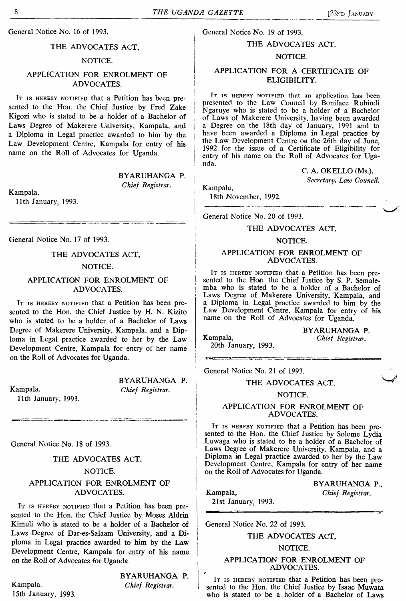General Notice No. 16 of 1993.

# THE ADVOCATES ACT,

# NOTICE.

# APPLICATION FOR ENROLMENT OF ADVOCATES.

It is hereby notified that a Petition has been presented to the Hon. the Chief Justice by Fred Zake Kigozi who is stated to be a holder of a Bachelor of Laws Degree of Makerere University, Kampala, and <sup>|</sup> a Diploma in Legal practice awarded to him by the Law Development Centre, Kampala for entry of his name on the Roll of Advocates for Uganda.

BYARUHANGA P.

<sup>i</sup> *Chief Registrar.*

Kampala, <sup>&</sup>lt;

11th January, 1993.

General Notice No. 17 of 1993.

THE ADVOCATES ACT, NOTICE.

# APPLICATION FOR ENROLMENT OF ADVOCATES.

It is hereby notified that a Petition has been presented to the Hon. the Chief Justice by H. N. Kizito who is stated to be a holder of a Bachelor of Laws Degree of Makerere University, Kampala, and a Diploma in Legal practice awarded to her by the Law Development Centre, Kampala for entry of her name on the Roll of Advocates for Uganda.

Kampala. *Chief Registrar.* 11th January, 1993.

BYARUHANGA P.

General Notice No. 18 of 1993.

### THE ADVOCATES ACT,

#### NOTICE.

# APPLICATION FOR ENROLMENT OF ADVOCATES.

IT is HEREBY NOTIFIED that a Petition has been presented to the Hon. the Chief Justice by Moses Aldrin Kimuli who is stated to be a holder of a Bachelor of Laws Degree of Dar-es-Salaam University, and a Diploma in Legal practice awarded to him by the Law Development Centre, Kampala for entry of his name on the Roll of Advocates for Uganda.

Kampala. *Chief Registrar.* 15th January, 1993.

BYARUHANGA P.

# General Notice No. 19 of 1993. THE ADVOCATES ACT.

# NOTICE.

# APPLICATION FOR A CERTIFICATE OF ELIGIBILITY.

IT IS HERERY NOTIFIED that an application has been presented to the Law Council by Boniface Ruhindi Ngaruye who is stated to be a holder of a Bachelor of Laws of Makerere University, having been awarded a Degree on the 18th day of January, 1991 and to have been awarded a Diploma in Legal practice by the Law Development Centre on the 26th day of June, 1992 for the issue of a Certificate of Eligibility for entry of his name on the Roll of Advocates for Uganda.

> C. A. OKELLO (Ms.), *Secretary, Law Council.*

Kampala,

18th November, 1992.

General Notice No. 20 of 1993.

#### THE ADVOCATES ACT,

#### NOTICE.

#### APPLICATION FOR ENROLMENT OF ADVOCATES.

It is hereby notified that a Petition has been presented to the Hon. the Chief Justice by S. P. Semalemba who is stated to be a holder of a Bachelor of Laws Degree of Makerere University, Kampala, and a Diploma in Legal practice awarded to him by the Law Development Centre, Kampala for entry of his name on the Roll of Advocates for Uganda.

BYARUHANGA P. Kampala, *Chief Registrar.*

20th January, 1993. 

General Notice No. 21 of 1993.

THE ADVOCATES ACT.

#### NOTICE.

APPLICATION FOR ENROLMENT OF ADVOCATES.

IT IS HEREBY NOTIFIED that a Petition has been presented to the Hon. the Chief Justice by Solome Lydia Luwaga who is stated to be a holder of a Bachelor of Laws Degree of Makerere University, Kampala, and a <sup>|</sup> Diploma in Legal practice awarded to her by the Law Development Centre, Kampala for entry of her name on the Roll of Advocates for Uganda.

Kampala, *Chief Registrar.* 21st January, 1993.

BYARUHANGA P.,

General Notice No. 22 of 1993.

### THE ADVOCATES ACT,

#### NOTICE.

#### APPLICATION FOR ENROLMENT OF ADVOCATES.

IT IS HEREBY NOTIFIED that a Petition has been presented to the Hon. the Chief Justice by Isaac Muwata who is stated to be a holder of a Bachelor of Laws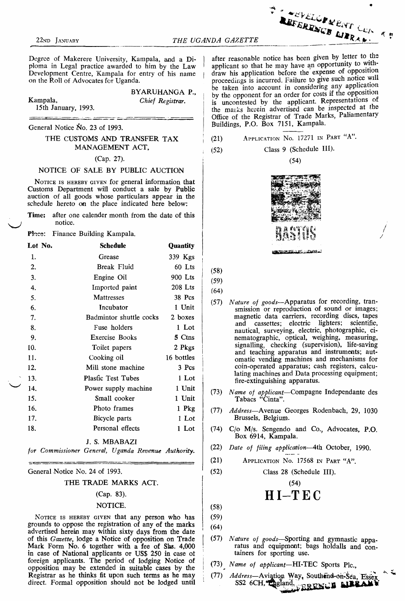Degree of Makerere University, Kampala, and a Diploma in Legal practice awarded to him by the Law • Development Centre, Kampala for entry of his name on the Roll of Advocates for Uganda.

|                     | BYARUHANGA P.,   |
|---------------------|------------------|
| Kampala,            | Chief Registrar. |
| 15th January, 1993. |                  |

General Notice No. 23 of 1993.

# THE CUSTOMS AND TRANSFER TAX MANAGEMENT ACT,

#### (Cap. 27).

#### NOTICE OF SALE BY PUBLIC AUCTION

NOTICE IS HEREBY GIVEN for general information that Customs Department will conduct a sale by Public auction of all goods whose particulars appear in the schedule hereto on the place indicated here below:

| <b>Time:</b> after one calender month from the date of this |  |  |  |  |
|-------------------------------------------------------------|--|--|--|--|
| notice.                                                     |  |  |  |  |

#### Plnce: Finance Building Kampala.

| Lot No. | <b>Schedule</b>           | Quantity   |
|---------|---------------------------|------------|
| 1.      | Grease                    | 339 Kgs    |
| 2.      | Break Fluid               | 60 Lts     |
| 3.      | Engine Oil                | 900 Lts    |
| 4.      | Imported paint            | $208$ Lts  |
| 5.      | Mattresses                | 38 Pcs     |
| 6.      | Incubator                 | 1 Unit     |
| 7.      | Badmintor shuttle cocks   | 2 boxes    |
| 8.      | Fuse holders              | 1 Lot      |
| 9.      | Exercise Books            | 5 Ctns     |
| 10.     | Toilet papers             | 2 Pkgs     |
| 11.     | Cooking oil               | 16 bottles |
| 12.     | Mill stone machine        | 3 Pcs      |
| 13.     | <b>Plasfic Test Tubes</b> | 1 Lot      |
| 14.     | Power supply machine      | 1 Unit     |
| 15.     | Small cooker              | 1 Unit     |
| 16.     | Photo frames              | 1 Pkg      |
| 17.     | Bicycle parts             | 1 Lot      |
| 18.     | Personal effects          | 1 Lot      |
|         | J. S. MBABAZI             |            |

*for Commissioner General, Uganda Revenue Authority.*

General Notice No. 24 of 1993.

#### THE TRADE MARKS ACT.

#### (Cap. 83).

#### NOTICE.

NOTICE IS HEREBY GIVEN that any person who has grounds to oppose the registration of any of the marks advertised herein may within sixty days from the date ' of this *Gazette*, lodge a Notice of opposition on Trade Mark Form No. 6 together with a fee of Shs. 4,000 in case of National applicants or USS 250 in case of foreign applicants. The period of lodging Notice of opposition may be extended in suitable cases by the Registrar as he thinks fit upon such terms as he may direct. Formal opposition should not be lodged until <sup>1</sup>

after reasonable notice has been given by letter to the applicant so that he may have an opportunity to withdraw his application before the expense of opposition proceedings is incurred. Failure to give such notice will be taken into account in considering any application by the opponent for an order for costs if the opposition is uncontested by the applicant. Representations or the marks herein advertised can be inspected at the Office of the Registrar of Trade Marks, Paliamentary Buildings, P.O. Box 7151, Kampala.

(21) Application N<sup>o</sup>. <sup>17271</sup> in Part "A".

$$
(52) \t\text{Class 9 (Schedule III)}.
$$

(54)



(58) (59)

(64)

- (57) *Nature of goods*—Apparatus for recording, transmission or reproduction of sound or images; magnetic data carriers, recording discs, tapes and cassettes; electric lighters; scientific, nautical, surveying, electric, photographic, cinematographic, optical, weighing, measuring, signalling, checking (supervision), life-saving and teaching apparatus and instruments; automatic vending machines and mechanisms for coin-operated apparatus; cash registers, calculating machines and Data processing equipment; fire-extinguishing apparatus.
- (73) *Name of applicant—*Compagne Independante des Tabacs "Cinta".
- (77) *Address—*Avenue Georges Rodenbach, 29, 1030 Brussels, Belgium.
- (74) C/o M/s. Sengendo and Co., Advocates, P.O. Box 6914, Kampala.
- (22) *Date of filing application*—4th October, 1990.
- (21) Application N<sup>o</sup>. <sup>17568</sup> in Part "A".
- (52) Class 28 (Schedule III).

(54) HI-TEC

- (58)
- (59) (64)
- (57) *Nature of goods*—Sporting and gymnastic apparatus and equipment; bags holdalls and containers for sporting use.
- (73) *Name of applicant—*HI-TEC Sports Pic.,
- (77) *Address—Aviation Way,* Southend-on-Sea, Essex SS2 6CH, England, REERINGS MERALLY